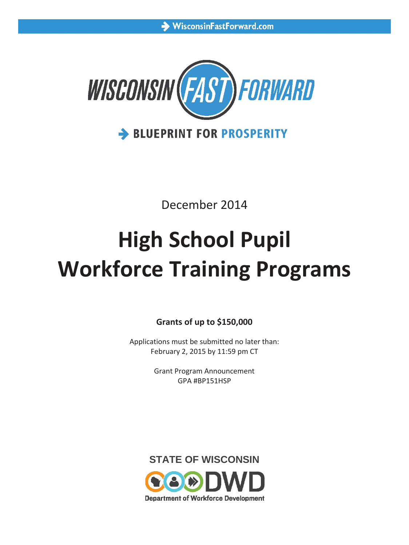

December 2014

# **High School Pupil Workforce Training Programs**

**Grants of up to \$150,000**

Applications must be submitted no later than: February 2, 2015 by 11:59 pm CT

> Grant Program Announcement GPA #BP151HSP

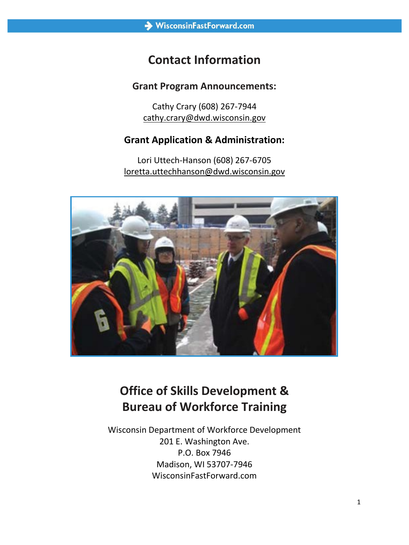# **Contact Information**

### **Grant Program Announcements:**

Cathy Crary (608) 267-7944 cathy.crary@dwd.wisconsin.gov

## **Grant Application & Administration:**

Lori Uttech-Hanson (608) 267-6705 loretta.uttechhanson@dwd.wisconsin.gov



# **Office of Skills Development & Bureau of Workforce Training**

Wisconsin Department of Workforce Development 201 E. Washington Ave. P.O. Box 7946 Madison, WI 53707-7946 WisconsinFastForward.com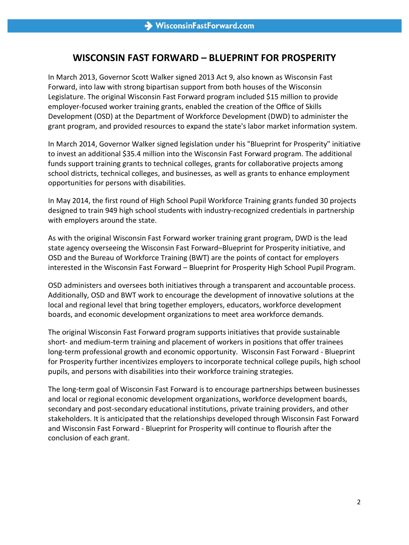## **WISCONSIN FAST FORWARD – BLUEPRINT FOR PROSPERITY**

In March 2013, Governor Scott Walker signed 2013 Act 9, also known as Wisconsin Fast Forward, into law with strong bipartisan support from both houses of the Wisconsin Legislature. The original Wisconsin Fast Forward program included \$15 million to provide employer-focused worker training grants, enabled the creation of the Office of Skills Development (OSD) at the Department of Workforce Development (DWD) to administer the grant program, and provided resources to expand the state's labor market information system.

In March 2014, Governor Walker signed legislation under his "Blueprint for Prosperity" initiative to invest an additional \$35.4 million into the Wisconsin Fast Forward program. The additional funds support training grants to technical colleges, grants for collaborative projects among school districts, technical colleges, and businesses, as well as grants to enhance employment opportunities for persons with disabilities.

In May 2014, the first round of High School Pupil Workforce Training grants funded 30 projects designed to train 949 high school students with industry-recognized credentials in partnership with employers around the state.

As with the original Wisconsin Fast Forward worker training grant program, DWD is the lead state agency overseeing the Wisconsin Fast Forward–Blueprint for Prosperity initiative, and OSD and the Bureau of Workforce Training (BWT) are the points of contact for employers interested in the Wisconsin Fast Forward – Blueprint for Prosperity High School Pupil Program.

OSD administers and oversees both initiatives through a transparent and accountable process. Additionally, OSD and BWT work to encourage the development of innovative solutions at the local and regional level that bring together employers, educators, workforce development boards, and economic development organizations to meet area workforce demands.

The original Wisconsin Fast Forward program supports initiatives that provide sustainable short- and medium-term training and placement of workers in positions that offer trainees long-term professional growth and economic opportunity. Wisconsin Fast Forward - Blueprint for Prosperity further incentivizes employers to incorporate technical college pupils, high school pupils, and persons with disabilities into their workforce training strategies.

The long-term goal of Wisconsin Fast Forward is to encourage partnerships between businesses and local or regional economic development organizations, workforce development boards, secondary and post-secondary educational institutions, private training providers, and other stakeholders. It is anticipated that the relationships developed through Wisconsin Fast Forward and Wisconsin Fast Forward - Blueprint for Prosperity will continue to flourish after the conclusion of each grant.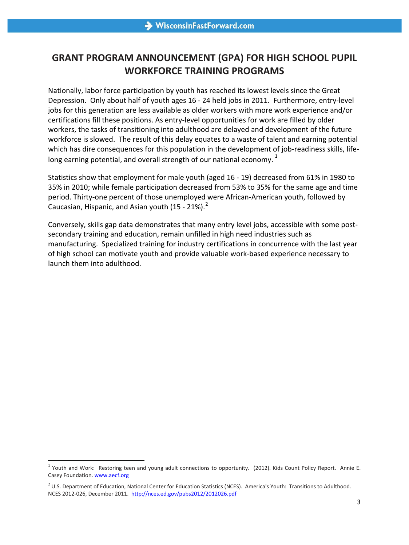# **GRANT PROGRAM ANNOUNCEMENT (GPA) FOR HIGH SCHOOL PUPIL WORKFORCE TRAINING PROGRAMS**

Nationally, labor force participation by youth has reached its lowest levels since the Great Depression. Only about half of youth ages 16 - 24 held jobs in 2011. Furthermore, entry-level jobs for this generation are less available as older workers with more work experience and/or certifications fill these positions. As entry-level opportunities for work are filled by older workers, the tasks of transitioning into adulthood are delayed and development of the future workforce is slowed. The result of this delay equates to a waste of talent and earning potential which has dire consequences for this population in the development of job-readiness skills, life-long earning potential, and overall strength of our national economy.<sup>[1](#page-3-0)</sup>

Statistics show that employment for male youth (aged 16 - 19) decreased from 61% in 1980 to 35% in 2010; while female participation decreased from 53% to 35% for the same age and time period. Thirty-one percent of those unemployed were African-American youth, followed by Caucasian, Hispanic, and Asian youth  $(15 - 21\%)$  $(15 - 21\%)$  $(15 - 21\%)$ .<sup>2</sup>

Conversely, skills gap data demonstrates that many entry level jobs, accessible with some postsecondary training and education, remain unfilled in high need industries such as manufacturing. Specialized training for industry certifications in concurrence with the last year of high school can motivate youth and provide valuable work-based experience necessary to launch them into adulthood.

l

<span id="page-3-0"></span> $1$  Youth and Work: Restoring teen and young adult connections to opportunity. (2012). Kids Count Policy Report. Annie E. Casey Foundation[. www.aecf.org](http://www.aecf.org/)

<span id="page-3-1"></span><sup>&</sup>lt;sup>2</sup> U.S. Department of Education, National Center for Education Statistics (NCES). America's Youth: Transitions to Adulthood. NCES 2012-026, December 2011.<http://nces.ed.gov/pubs2012/2012026.pdf>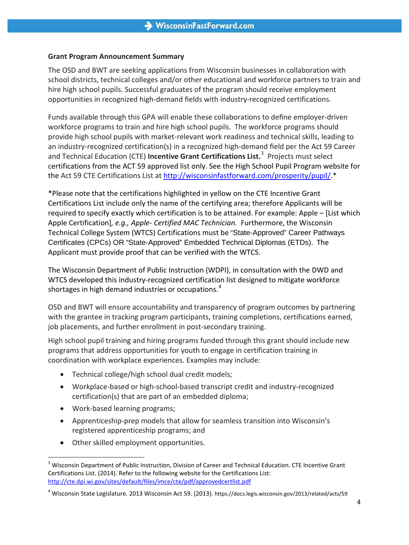#### **Grant Program Announcement Summary**

The OSD and BWT are seeking applications from Wisconsin businesses in collaboration with school districts, technical colleges and/or other educational and workforce partners to train and hire high school pupils. Successful graduates of the program should receive employment opportunities in recognized high-demand fields with industry-recognized certifications.

Funds available through this GPA will enable these collaborations to define employer-driven workforce programs to train and hire high school pupils. The workforce programs should provide high school pupils with market-relevant work readiness and technical skills, leading to an industry-recognized certification(s) in a recognized high-demand field per the Act 59 Career and Technical Education (CTE) **Incentive Grant Certifications List.**[3](#page-4-0) Projects must select certifications from the ACT 59 approved list only. See the High School Pupil Program website for the Act 59 CTE Certifications List at [http://wisconsinfastforward.com/prosperity/pupil/.](http://wisconsinfastforward.com/prosperity/pupil/)\*

\*Please note that the certifications highlighted in yellow on the CTE Incentive Grant Certifications List include only the name of the certifying area; therefore Applicants will be required to specify exactly which certification is to be attained. For example: Apple – [List which Apple Certification]*, e.g., Apple- Certified MAC Technician.* Furthermore, the Wisconsin Technical College System (WTCS) Certifications must be "State-Approved" Career Pathways Certificates (CPCs) OR "State-Approved" Embedded Technical Diplomas (ETDs). The Applicant must provide proof that can be verified with the WTCS.

The Wisconsin Department of Public Instruction (WDPI), in consultation with the DWD and WTCS developed this industry-recognized certification list designed to mitigate workforce shortages in high demand industries or occupations.<sup>[4](#page-4-1)</sup>

OSD and BWT will ensure accountability and transparency of program outcomes by partnering with the grantee in tracking program participants, training completions, certifications earned, job placements, and further enrollment in post-secondary training.

High school pupil training and hiring programs funded through this grant should include new programs that address opportunities for youth to engage in certification training in coordination with workplace experiences. Examples may include:

- Technical college/high school dual credit models;
- Workplace-based or high-school-based transcript credit and industry-recognized certification(s) that are part of an embedded diploma;
- Work-based learning programs;

l

- Apprenticeship-prep models that allow for seamless transition into Wisconsin's registered apprenticeship programs; and
- Other skilled employment opportunities.

<span id="page-4-0"></span><sup>&</sup>lt;sup>3</sup> Wisconsin Department of Public Instruction, Division of Career and Technical Education. CTE Incentive Grant Certifications List. (2014). Refer to the following website for the Certifications List: <http://cte.dpi.wi.gov/sites/default/files/imce/cte/pdf/approvedcertlist.pdf>

<span id="page-4-1"></span><sup>&</sup>lt;sup>4</sup> Wisconsin State Legislature. 2013 Wisconsin Act 59. (2013). https://docs.legis.wisconsin.gov/2013/related/acts/59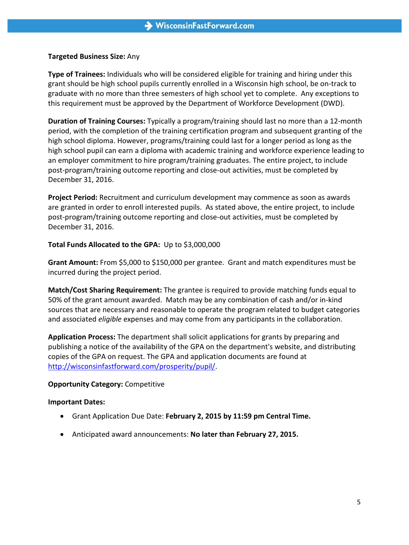#### **Targeted Business Size:** Any

**Type of Trainees:** Individuals who will be considered eligible for training and hiring under this grant should be high school pupils currently enrolled in a Wisconsin high school, be on-track to graduate with no more than three semesters of high school yet to complete. Any exceptions to this requirement must be approved by the Department of Workforce Development (DWD).

**Duration of Training Courses:** Typically a program/training should last no more than a 12-month period, with the completion of the training certification program and subsequent granting of the high school diploma. However, programs/training could last for a longer period as long as the high school pupil can earn a diploma with academic training and workforce experience leading to an employer commitment to hire program/training graduates. The entire project, to include post-program/training outcome reporting and close-out activities, must be completed by December 31, 2016.

**Project Period:** Recruitment and curriculum development may commence as soon as awards are granted in order to enroll interested pupils. As stated above, the entire project, to include post-program/training outcome reporting and close-out activities, must be completed by December 31, 2016.

#### **Total Funds Allocated to the GPA:** Up to \$3,000,000

**Grant Amount:** From \$5,000 to \$150,000 per grantee. Grant and match expenditures must be incurred during the project period.

**Match/Cost Sharing Requirement:** The grantee is required to provide matching funds equal to 50% of the grant amount awarded. Match may be any combination of cash and/or in-kind sources that are necessary and reasonable to operate the program related to budget categories and associated *eligible* expenses and may come from any participants in the collaboration.

**Application Process:** The department shall solicit applications for grants by preparing and publishing a notice of the availability of the GPA on the department's website, and distributing copies of the GPA on request. The GPA and application documents are found at [http://wisconsinfastforward.com/prosperity/pupil/.](http://wisconsinfastforward.com/prosperity/pupil/)

#### **Opportunity Category:** Competitive

#### **Important Dates:**

- Grant Application Due Date: **February 2, 2015 by 11:59 pm Central Time.**
- Anticipated award announcements: **No later than February 27, 2015.**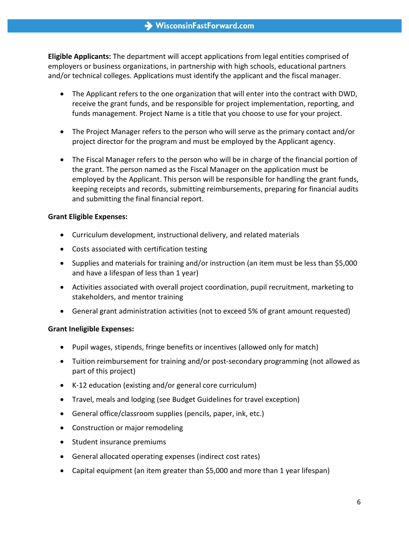**Eligible Applicants:** The department will accept applications from legal entities comprised of employers or business organizations, in partnership with high schools, educational partners and/or technical colleges. Applications must identify the applicant and the fiscal manager.

- The Applicant refers to the one organization that will enter into the contract with DWD, receive the grant funds, and be responsible for project implementation, reporting, and funds management. Project Name is a title that you choose to use for your project.
- The Project Manager refers to the person who will serve as the primary contact and/or project director for the program and must be employed by the Applicant agency.
- The Fiscal Manager refers to the person who will be in charge of the financial portion of the grant. The person named as the Fiscal Manager on the application must be employed by the Applicant. This person will be responsible for handling the grant funds, keeping receipts and records, submitting reimbursements, preparing for financial audits and submitting the final financial report.

#### **Grant Eligible Expenses:**

- Curriculum development, instructional delivery, and related materials
- Costs associated with certification testing
- Supplies and materials for training and/or instruction (an item must be less than \$5,000 and have a lifespan of less than 1 year)
- Activities associated with overall project coordination, pupil recruitment, marketing to stakeholders, and mentor training
- General grant administration activities (not to exceed 5% of grant amount requested)

#### **Grant Ineligible Expenses:**

- Pupil wages, stipends, fringe benefits or incentives (allowed only for match)
- Tuition reimbursement for training and/or post-secondary programming (not allowed as part of this project)
- K-12 education (existing and/or general core curriculum)
- Travel, meals and lodging (see Budget Guidelines for travel exception)
- General office/classroom supplies (pencils, paper, ink, etc.)
- Construction or major remodeling
- Student insurance premiums
- General allocated operating expenses (indirect cost rates)
- Capital equipment (an item greater than \$5,000 and more than 1 year lifespan)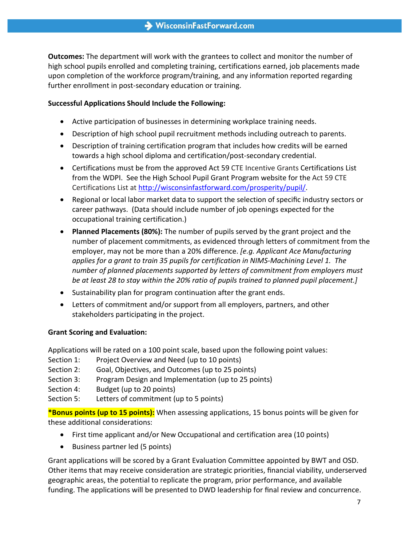**Outcomes:** The department will work with the grantees to collect and monitor the number of high school pupils enrolled and completing training, certifications earned, job placements made upon completion of the workforce program/training, and any information reported regarding further enrollment in post-secondary education or training.

#### **Successful Applications Should Include the Following:**

- Active participation of businesses in determining workplace training needs.
- Description of high school pupil recruitment methods including outreach to parents.
- Description of training certification program that includes how credits will be earned towards a high school diploma and certification/post-secondary credential.
- Certifications must be from the approved Act 59 CTE Incentive Grants Certifications List from the WDPI. See the High School Pupil Grant Program website for the Act 59 CTE Certifications List at [http://wisconsinfastforward.com/prosperity/pupil/.](http://wisconsinfastforward.com/prosperity/pupil/)
- Regional or local labor market data to support the selection of specific industry sectors or career pathways. (Data should include number of job openings expected for the occupational training certification.)
- **Planned Placements (80%):** The number of pupils served by the grant project and the number of placement commitments, as evidenced through letters of commitment from the employer, may not be more than a 20% difference. *[e.g. Applicant Ace Manufacturing applies for a grant to train 35 pupils for certification in NIMS-Machining Level 1. The number of planned placements supported by letters of commitment from employers must be at least 28 to stay within the 20% ratio of pupils trained to planned pupil placement.]*
- Sustainability plan for program continuation after the grant ends.
- Letters of commitment and/or support from all employers, partners, and other stakeholders participating in the project.

#### **Grant Scoring and Evaluation:**

Applications will be rated on a 100 point scale, based upon the following point values:

- Section 1: Project Overview and Need (up to 10 points)
- Section 2: Goal, Objectives, and Outcomes (up to 25 points)
- Section 3: Program Design and Implementation (up to 25 points)
- Section 4: Budget (up to 20 points)
- Section 5: Letters of commitment (up to 5 points)

**\*Bonus points (up to 15 points):** When assessing applications, 15 bonus points will be given for these additional considerations:

- First time applicant and/or New Occupational and certification area (10 points)
- Business partner led (5 points)

Grant applications will be scored by a Grant Evaluation Committee appointed by BWT and OSD. Other items that may receive consideration are strategic priorities, financial viability, underserved geographic areas, the potential to replicate the program, prior performance, and available funding. The applications will be presented to DWD leadership for final review and concurrence.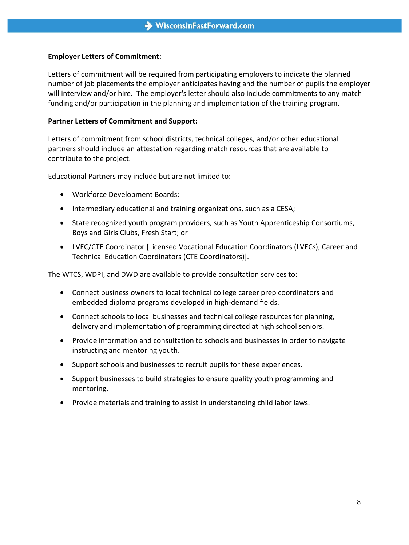#### **Employer Letters of Commitment:**

Letters of commitment will be required from participating employers to indicate the planned number of job placements the employer anticipates having and the number of pupils the employer will interview and/or hire. The employer's letter should also include commitments to any match funding and/or participation in the planning and implementation of the training program.

#### **Partner Letters of Commitment and Support:**

Letters of commitment from school districts, technical colleges, and/or other educational partners should include an attestation regarding match resources that are available to contribute to the project.

Educational Partners may include but are not limited to:

- Workforce Development Boards;
- Intermediary educational and training organizations, such as a CESA;
- State recognized youth program providers, such as Youth Apprenticeship Consortiums, Boys and Girls Clubs, Fresh Start; or
- LVEC/CTE Coordinator [Licensed Vocational Education Coordinators (LVECs), Career and Technical Education Coordinators (CTE Coordinators)].

The WTCS, WDPI, and DWD are available to provide consultation services to:

- Connect business owners to local technical college career prep coordinators and embedded diploma programs developed in high-demand fields.
- Connect schools to local businesses and technical college resources for planning, delivery and implementation of programming directed at high school seniors.
- Provide information and consultation to schools and businesses in order to navigate instructing and mentoring youth.
- Support schools and businesses to recruit pupils for these experiences.
- Support businesses to build strategies to ensure quality youth programming and mentoring.
- Provide materials and training to assist in understanding child labor laws.